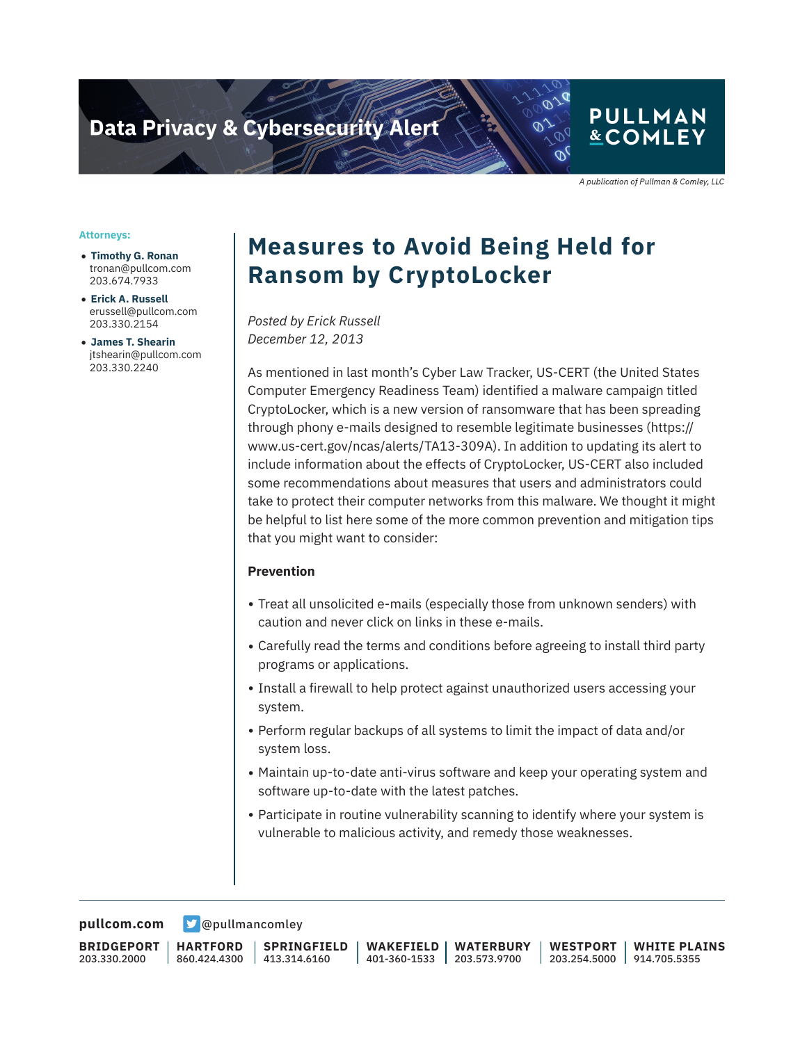# **Data Privacy & Cybersecurity Alert**

### **PULLMAN &COMLEY**

A publication of Pullman & Comley, LLC

#### **Attorneys:**

- **Timothy G. Ronan** tronan@pullcom.com 203.674.7933
- **Erick A. Russell** erussell@pullcom.com 203.330.2154
- **James T. Shearin** jtshearin@pullcom.com 203.330.2240

# **Measures to Avoid Being Held for Ransom by CryptoLocker**

*Posted by Erick Russell December 12, 2013*

As mentioned in last month's Cyber Law Tracker, US-CERT (the United States Computer Emergency Readiness Team) identified a malware campaign titled CryptoLocker, which is a new version of ransomware that has been spreading through phony e-mails designed to resemble legitimate businesses (https:// www.us-cert.gov/ncas/alerts/TA13-309A). In addition to updating its alert to include information about the effects of CryptoLocker, US-CERT also included some recommendations about measures that users and administrators could take to protect their computer networks from this malware. We thought it might be helpful to list here some of the more common prevention and mitigation tips that you might want to consider:

#### **Prevention**

- Treat all unsolicited e-mails (especially those from unknown senders) with caution and never click on links in these e-mails.
- Carefully read the terms and conditions before agreeing to install third party programs or applications.
- Install a firewall to help protect against unauthorized users accessing your system.
- Perform regular backups of all systems to limit the impact of data and/or system loss.
- Maintain up-to-date anti-virus software and keep your operating system and software up-to-date with the latest patches.
- Participate in routine vulnerability scanning to identify where your system is vulnerable to malicious activity, and remedy those weaknesses.

**[pullcom.com](https://www.pullcom.com) g** [@pullmancomley](https://twitter.com/PullmanComley)

**BRIDGEPORT** 203.330.2000

**HARTFORD** 860.424.4300

**SPRINGFIELD** 413.314.6160

**WAKEFIELD** 401-360-1533 **WATERBURY** 203.573.9700 **WESTPORT**

203.254.5000 914.705.5355 **WHITE PLAINS**